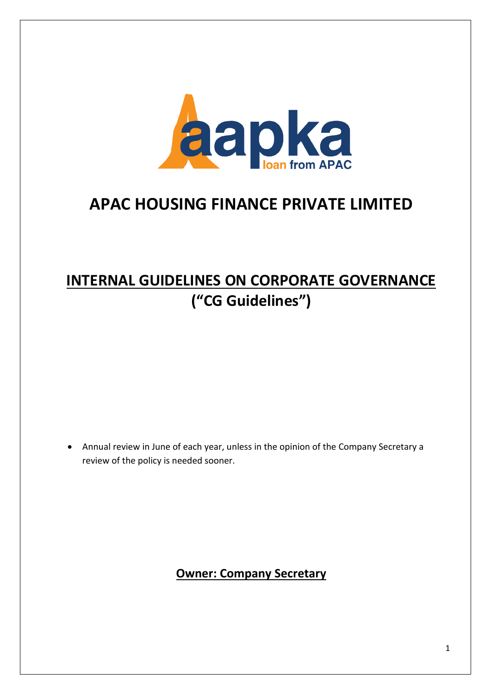

# **APAC HOUSING FINANCE PRIVATE LIMITED**

# **INTERNAL GUIDELINES ON CORPORATE GOVERNANCE ("CG Guidelines")**

• Annual review in June of each year, unless in the opinion of the Company Secretary a review of the policy is needed sooner.

**Owner: Company Secretary**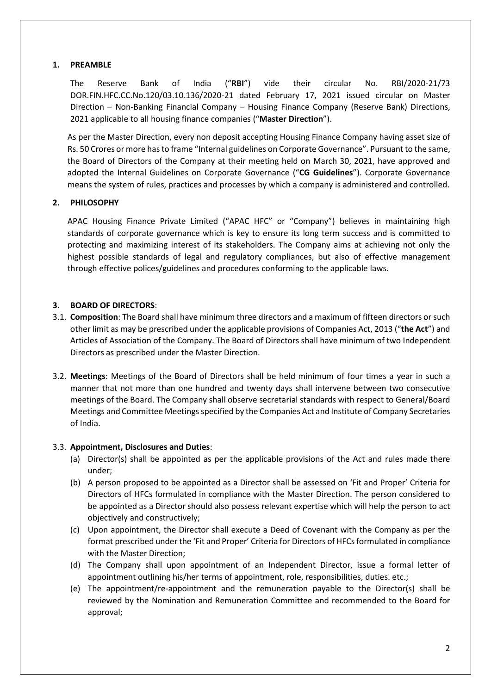# **1. PREAMBLE**

The Reserve Bank of India ("**RBI**") vide their circular No. RBI/2020-21/73 DOR.FIN.HFC.CC.No.120/03.10.136/2020-21 dated February 17, 2021 issued circular on Master Direction – Non-Banking Financial Company – Housing Finance Company (Reserve Bank) Directions, 2021 applicable to all housing finance companies ("**Master Direction**").

As per the Master Direction, every non deposit accepting Housing Finance Company having asset size of Rs. 50 Crores or more hasto frame "Internal guidelines on Corporate Governance". Pursuant to the same, the Board of Directors of the Company at their meeting held on March 30, 2021, have approved and adopted the Internal Guidelines on Corporate Governance ("**CG Guidelines**"). Corporate Governance means the system of rules, practices and processes by which a company is administered and controlled.

# **2. PHILOSOPHY**

APAC Housing Finance Private Limited ("APAC HFC" or "Company") believes in maintaining high standards of corporate governance which is key to ensure its long term success and is committed to protecting and maximizing interest of its stakeholders. The Company aims at achieving not only the highest possible standards of legal and regulatory compliances, but also of effective management through effective polices/guidelines and procedures conforming to the applicable laws.

# **3. BOARD OF DIRECTORS**:

- 3.1. **Composition**: The Board shall have minimum three directors and a maximum of fifteen directors orsuch other limit as may be prescribed under the applicable provisions of Companies Act, 2013 ("**the Act**") and Articles of Association of the Company. The Board of Directors shall have minimum of two Independent Directors as prescribed under the Master Direction.
- 3.2. **Meetings**: Meetings of the Board of Directors shall be held minimum of four times a year in such a manner that not more than one hundred and twenty days shall intervene between two consecutive meetings of the Board. The Company shall observe secretarial standards with respect to General/Board Meetings and Committee Meetings specified by the Companies Act and Institute of Company Secretaries of India.

#### 3.3. **Appointment, Disclosures and Duties**:

- (a) Director(s) shall be appointed as per the applicable provisions of the Act and rules made there under;
- (b) A person proposed to be appointed as a Director shall be assessed on 'Fit and Proper' Criteria for Directors of HFCs formulated in compliance with the Master Direction. The person considered to be appointed as a Director should also possess relevant expertise which will help the person to act objectively and constructively;
- (c) Upon appointment, the Director shall execute a Deed of Covenant with the Company as per the format prescribed under the 'Fit and Proper' Criteria for Directors of HFCs formulated in compliance with the Master Direction;
- (d) The Company shall upon appointment of an Independent Director, issue a formal letter of appointment outlining his/her terms of appointment, role, responsibilities, duties. etc.;
- (e) The appointment/re‐appointment and the remuneration payable to the Director(s) shall be reviewed by the Nomination and Remuneration Committee and recommended to the Board for approval;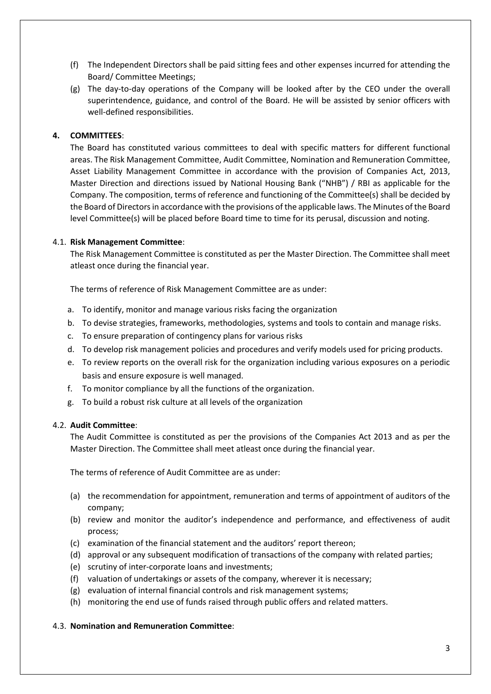- (f) The Independent Directors shall be paid sitting fees and other expenses incurred for attending the Board/ Committee Meetings;
- (g) The day‐to‐day operations of the Company will be looked after by the CEO under the overall superintendence, guidance, and control of the Board. He will be assisted by senior officers with well-defined responsibilities.

# **4. COMMITTEES**:

The Board has constituted various committees to deal with specific matters for different functional areas. The Risk Management Committee, Audit Committee, Nomination and Remuneration Committee, Asset Liability Management Committee in accordance with the provision of Companies Act, 2013, Master Direction and directions issued by National Housing Bank ("NHB") / RBI as applicable for the Company. The composition, terms of reference and functioning of the Committee(s) shall be decided by the Board of Directorsin accordance with the provisions of the applicable laws. The Minutes ofthe Board level Committee(s) will be placed before Board time to time for its perusal, discussion and noting.

# 4.1. **Risk Management Committee**:

The Risk Management Committee is constituted as per the Master Direction. The Committee shall meet atleast once during the financial year.

The terms of reference of Risk Management Committee are as under:

- a. To identify, monitor and manage various risks facing the organization
- b. To devise strategies, frameworks, methodologies, systems and tools to contain and manage risks.
- c. To ensure preparation of contingency plans for various risks
- d. To develop risk management policies and procedures and verify models used for pricing products.
- e. To review reports on the overall risk for the organization including various exposures on a periodic basis and ensure exposure is well managed.
- f. To monitor compliance by all the functions of the organization.
- g. To build a robust risk culture at all levels of the organization

#### 4.2. **Audit Committee**:

The Audit Committee is constituted as per the provisions of the Companies Act 2013 and as per the Master Direction. The Committee shall meet atleast once during the financial year.

The terms of reference of Audit Committee are as under:

- (a) the recommendation for appointment, remuneration and terms of appointment of auditors of the company;
- (b) review and monitor the auditor's independence and performance, and effectiveness of audit process;
- (c) examination of the financial statement and the auditors' report thereon;
- (d) approval or any subsequent modification of transactions of the company with related parties;
- (e) scrutiny of inter‐corporate loans and investments;
- (f) valuation of undertakings or assets of the company, wherever it is necessary;
- (g) evaluation of internal financial controls and risk management systems;
- (h) monitoring the end use of funds raised through public offers and related matters.

#### 4.3. **Nomination and Remuneration Committee**: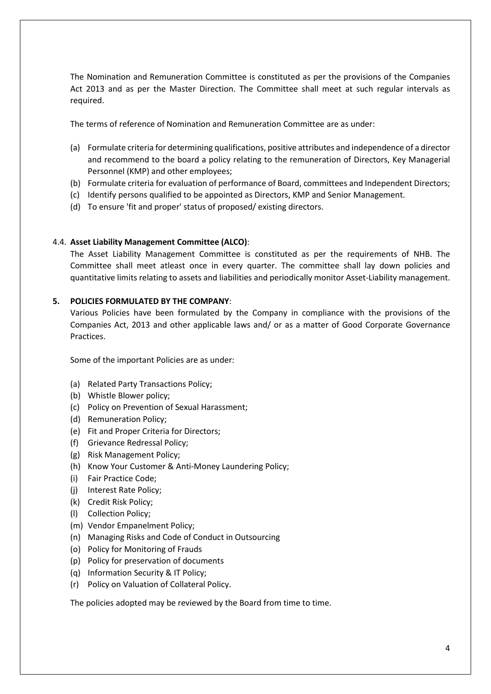The Nomination and Remuneration Committee is constituted as per the provisions of the Companies Act 2013 and as per the Master Direction. The Committee shall meet at such regular intervals as required.

The terms of reference of Nomination and Remuneration Committee are as under:

- (a) Formulate criteria for determining qualifications, positive attributes and independence of a director and recommend to the board a policy relating to the remuneration of Directors, Key Managerial Personnel (KMP) and other employees;
- (b) Formulate criteria for evaluation of performance of Board, committees and Independent Directors;
- (c) Identify persons qualified to be appointed as Directors, KMP and Senior Management.
- (d) To ensure 'fit and proper' status of proposed/ existing directors.

# 4.4. **Asset Liability Management Committee (ALCO)**:

The Asset Liability Management Committee is constituted as per the requirements of NHB. The Committee shall meet atleast once in every quarter. The committee shall lay down policies and quantitative limits relating to assets and liabilities and periodically monitor Asset‐Liability management.

# **5. POLICIES FORMULATED BY THE COMPANY**:

Various Policies have been formulated by the Company in compliance with the provisions of the Companies Act, 2013 and other applicable laws and/ or as a matter of Good Corporate Governance Practices.

Some of the important Policies are as under:

- (a) Related Party Transactions Policy;
- (b) Whistle Blower policy;
- (c) Policy on Prevention of Sexual Harassment;
- (d) Remuneration Policy;
- (e) Fit and Proper Criteria for Directors;
- (f) Grievance Redressal Policy;
- (g) Risk Management Policy;
- (h) Know Your Customer & Anti‐Money Laundering Policy;
- (i) Fair Practice Code;
- (j) Interest Rate Policy;
- (k) Credit Risk Policy;
- (l) Collection Policy;
- (m) Vendor Empanelment Policy;
- (n) Managing Risks and Code of Conduct in Outsourcing
- (o) Policy for Monitoring of Frauds
- (p) Policy for preservation of documents
- (q) Information Security & IT Policy;
- (r) Policy on Valuation of Collateral Policy.

The policies adopted may be reviewed by the Board from time to time.